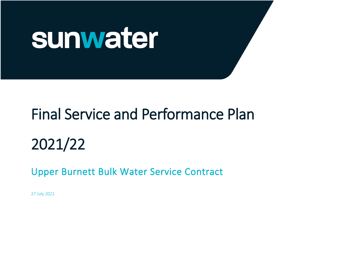

# Final Service and Performance Plan

2021/22

Upper Burnett Bulk Water Service Contract

27 July 2021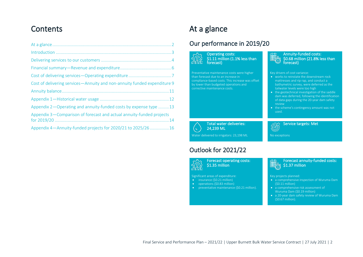# **Contents**

| Cost of delivering services-Annuity and non-annuity funded expenditure 9 |
|--------------------------------------------------------------------------|
|                                                                          |
|                                                                          |
| Appendix 2-Operating and annuity-funded costs by expense type 13         |
| Appendix 3—Comparison of forecast and actual annuity-funded projects     |
| Appendix 4-Annuity-funded projects for 2020/21 to 2025/26  16            |

# <span id="page-1-0"></span>At a glance

l,

j

l,

### Our performance in 2019/20

Operating costs: \$1.11 million (1.1% less than forecast)

Preventative maintenance costs were higher than forecast due to an increase in compliance-based costs. This increase was offset by lower than budgeted operations and corrective maintenance costs.

#### Annuity-funded costs: B \$0.68 million (21.8% less than forecast)

Key drivers of cost variance:

- works to reinstate the downstream rock mattresses and rip rap, and conduct a bathymetric survey, were deferred as the tailwater levels were too high
- the geotechnical investigation of the saddle dam was deferred, following the identification of data gaps during the 20-year dam safety review
- the scheme's contingency amount was not used.

Service targets: Met

 Total water deliveries: 24,239 ML (C) Water delivered to irrigators: 23,198 ML

## Outlook for 2021/22



Forecast operating costs: \$1.35 million

Significant areas of expenditure: Key projects planned:

- insurance (\$0.21 million) • operations (\$0.83 million)
- preventative maintenance (\$0.21 million).



No exceptions

Õ

- a comprehensive inspection of Wuruma Dam (\$0.11 million)
- a comprehensive risk assessment of Wuruma Dam (\$0.19 million)
- a 20-year dam safety review of Wuruma Dam (\$0.67 million).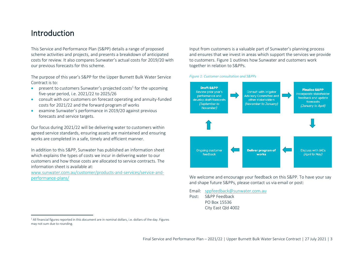# <span id="page-2-0"></span>Introduction

This Service and Performance Plan (S&PP) details a range of proposed scheme activities and projects, and presents a breakdown of anticipated costs for review. It also compares Sunwater's actual costs for 2019/20 with our previous forecasts for this scheme.

The purpose of this year's S&PP for the Upper Burnett Bulk Water Service Contract is to:

- present to customers Sunwater's projected costs<sup>1</sup> for the upcoming five-year period, i.e. 2021/22 to 2025/26
- consult with our customers on forecast operating and annuity-funded costs for 2021/22 and the forward program of works
- examine Sunwater's performance in 2019/20 against previous forecasts and service targets.

Our focus during 2021/22 will be delivering water to customers within agreed service standards, ensuring assets are maintained and ensuring works are completed in a safe, timely and efficient manner.

In addition to this S&PP, Sunwater has published an information sheet which explains the types of costs we incur in delivering water to our customers and how those costs are allocated to service contracts. The information sheet is available at:

[www.sunwater.com.au/customer/products-and-services/service-and](https://www.sunwater.com.au/customer/products-and-services/service-and-performance-plans/)[performance-plans/](https://www.sunwater.com.au/customer/products-and-services/service-and-performance-plans/)

Input from customers is a valuable part of Sunwater's planning process and ensures that we invest in areas which support the services we provide to customers[. Figure 1](#page-2-1) outlines how Sunwater and customers work together in relation to S&PPs.

#### <span id="page-2-1"></span>*Figure 1: Customer consultation and S&PPs*



We welcome and encourage your feedback on this S&PP. To have your say and shape future S&PPs, please contact us via email or post:

Email: [sppfeedback@sunwater.com.au](mailto:sppfeedback@sunwater.com.au)

Post: S&PP Feedback PO Box 15536 City East Qld 4002

<sup>&</sup>lt;sup>1</sup> All financial figures reported in this document are in nominal dollars, i.e. dollars of the day. Figures may not sum due to rounding.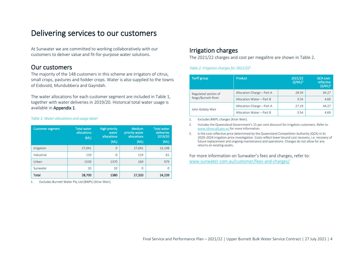# <span id="page-3-0"></span>Delivering services to our customers

At Sunwater we are committed to working collaboratively with our customers to deliver value and fit-for-purpose water solutions.

### Our customers

The majority of the 148 customers in this scheme are irrigators of citrus, small crops, pastures and fodder crops. Water is also supplied to the towns of Eidsvold, Mundubbera and Gayndah.

The water allocations for each customer segment are included in [Table 1,](#page-3-1) together with water deliveries in 2019/20. Historical total water usage is available in [Appendix 1.](#page-11-0)

#### <span id="page-3-1"></span>*Table 1: Water allocations and usage data<sup>1</sup>*

| <b>Customer segment</b> | Total water<br>allocations<br>(ML) | <b>High priority</b><br>water<br>allocations<br>(ML) | <b>Medium</b><br>priority water<br>allocations<br>(ML) | <b>Total water</b><br>deliveries<br>2019/20<br>(ML) |
|-------------------------|------------------------------------|------------------------------------------------------|--------------------------------------------------------|-----------------------------------------------------|
| Irrigation              | 27,041                             | $\Omega$                                             | 27,041                                                 | 23,198                                              |
| Industrial              | 119                                | $\Omega$                                             | 119                                                    | 61                                                  |
| Urban                   | 1530                               | 1370                                                 | 160                                                    | 979                                                 |
| Sunwater                | 10                                 | 10                                                   | $\Omega$                                               |                                                     |
| Total                   | 28,700                             | 1380                                                 | 27,320                                                 | 24,239                                              |

1. Excludes Burnett Water Pty Ltd (BWPL) (Kirar Weir).

### Irrigation charges

The 2021/22 charges and cost per megalitre are shown in [Table 2.](#page-3-2)

#### <span id="page-3-2"></span>*Table 2: Irrigation charges for 2021/22<sup>1</sup>*

| <b>Tariff group</b>  | <b>Product</b>             | 2021/22<br>(S/ML) <sup>2</sup> | <b>QCA cost-</b><br>reflective<br>(S/ML) <sup>3</sup> |
|----------------------|----------------------------|--------------------------------|-------------------------------------------------------|
| Regulated section of | Allocation Charge - Part A | 28.59                          | 44.27                                                 |
| Nogo/Burnett River   | Allocation Water - Part B  | 3.54                           | 4.69                                                  |
|                      | Allocation Charge - Part A | 27.19                          | 44.27                                                 |
| John Goleby Weir     | Allocation Water - Part B  | 3.54                           | 4.69                                                  |

1. Excludes BWPL charges (Kirar Weir).

2. Includes the Queensland Government's 15 per cent discount for irrigation customers. Refer to [www.rdmw.qld.gov.au](http://www.rdmw.qld.gov.au/) for more information.

3. Is the cost-reflective price determined by the Queensland Competition Authority (QCA) in its 2020–2024 irrigation price investigation. Costs reflect lower bound cost recovery, i.e. recovery of future replacement and ongoing maintenance and operations. Charges do not allow for any returns on existing assets.

For more information on Sunwater's fees and charges, refer to: [www.sunwater.com.au/customer/fees-and-charges/](https://www.sunwater.com.au/customer/fees-and-charges/)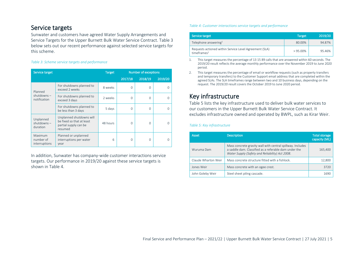### Service targets

Sunwater and customers have agreed Water Supply Arrangements and Service Targets for the Upper Burnett Bulk Water Service Contract. [Table 3](#page-4-0) below sets out our recent performance against selected service targets for this scheme.

#### <span id="page-4-0"></span>*Table 3: Scheme service targets and performance*

| Service target                         |                                                                                           | <b>Target</b> | <b>Number of exceptions</b> |          |         |  |  |  |
|----------------------------------------|-------------------------------------------------------------------------------------------|---------------|-----------------------------|----------|---------|--|--|--|
|                                        |                                                                                           |               | 2017/18                     | 2018/19  | 2019/20 |  |  |  |
| Planned                                | For shutdowns planned to<br>exceed 2 weeks                                                | 8 weeks       | $\Omega$                    | $\Omega$ | 0       |  |  |  |
| $shutdowns -$<br>notification          | For shutdowns planned to<br>exceed 3 days                                                 | 2 weeks       | $\Omega$                    | $\Omega$ | O       |  |  |  |
|                                        | For shutdowns planned to<br>be less than 3 days                                           | 5 days        | 0                           | $\Omega$ | O       |  |  |  |
| Unplanned<br>$shutdowns -$<br>duration | Unplanned shutdowns will<br>be fixed so that at least<br>partial supply can be<br>resumed | 48 hours      | $\Omega$                    | $\cap$   | O       |  |  |  |
| Maximum<br>number of<br>interruptions  | Planned or unplanned<br>interruptions per water<br>year                                   | 6             | O                           | n        | 0       |  |  |  |

In addition, Sunwater has company-wide customer interactions service targets. Our performance in 2019/20 against these service targets is shown in [Table 4.](#page-4-1)

#### <span id="page-4-1"></span>*Table 4: Customer interactions service targets and performance*

| Service target                                                                    | <b>Target</b> | 2019/20 |
|-----------------------------------------------------------------------------------|---------------|---------|
| Telephone answering <sup>1</sup>                                                  | 80.00%        | 94.87%  |
| Requests actioned within Service Level Agreement (SLA)<br>timeframes <sup>2</sup> | $> 95.00\%$   | 95.46%  |

1. This target measures the percentage of 13 15 89 calls that are answered within 60 seconds. The 2019/20 result reflects the average monthly performance over the November 2019 to June 2020 period.

2. This target measures the percentage of email or workflow requests (such as property transfers and temporary transfers) to the Customer Support email address that are completed within the agreed SLAs. The SLA timeframes range between two and 10 business days, depending on the request. The 2019/20 result covers the October 2019 to June 2020 period.

### Key infrastructure

[Table 5](#page-4-2) lists the key infrastructure used to deliver bulk water services to our customers in the Upper Burnett Bulk Water Service Contract. It excludes infrastructure owned and operated by BWPL, such as Kirar Weir.

#### <span id="page-4-2"></span>*Table 5: Key infrastructure*

| Asset               | <b>Description</b>                                                                                                                                                     | <b>Total storage</b><br>capacity (ML) |
|---------------------|------------------------------------------------------------------------------------------------------------------------------------------------------------------------|---------------------------------------|
| Wuruma Dam          | Mass concrete gravity wall with central spillway. Includes<br>a saddle dam. Classified as a referable dam under the<br>Water Supply (Safety and Reliability) Act 2008. | 165,400                               |
| Claude Wharton Weir | Mass concrete structure fitted with a fishlock.                                                                                                                        | 12,800                                |
| Jones Weir          | Mass concrete with an ogee crest.                                                                                                                                      | 3720                                  |
| John Goleby Weir    | Steel sheet piling cascade.                                                                                                                                            | 1690                                  |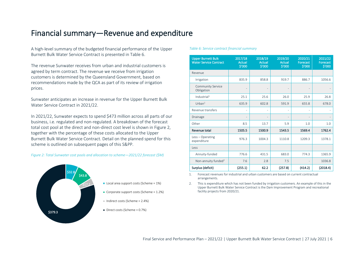# <span id="page-5-0"></span>Financial summary—Revenue and expenditure

A high-level summary of the budgeted financial performance of the Upper Burnett Bulk Water Service Contract is presented in [Table 6.](#page-5-1)

The revenue Sunwater receives from urban and industrial customers is agreed by term contract. The revenue we receive from irrigation customers is determined by the Queensland Government, based on recommendations made by the QCA as part of its review of irrigation prices.

Sunwater anticipates an increase in revenue for the Upper Burnett Bulk Water Service Contract in 2021/22.

In 2021/22, Sunwater expects to spend \$473 million across all parts of our business, i.e. regulated and non-regulated. A breakdown of the forecast total cost pool at the direct and non-direct cost level is shown i[n Figure 2,](#page-5-2) together with the percentage of these costs allocated to the Upper Burnett Bulk Water Service Contract. Detail on the planned spend for this scheme is outlined on subsequent pages of this S&PP.

<span id="page-5-2"></span>*Figure 2: Total Sunwater cost pools and allocation to scheme—2021/22 forecast (\$M)*



- Local area support costs (Scheme =  $1\%$ )
- Corporate support costs (Scheme = 1.2%)
- Indirect costs (Scheme = 2.4%)
- Direct costs (Scheme = 0.7%)

#### <span id="page-5-1"></span>*Table 6: Service contract financial summary*

| <b>Upper Burnett Bulk</b><br><b>Water Service Contract</b> | 2017/18<br><b>Actual</b><br>\$'000 | 2018/19<br><b>Actual</b><br>\$'000 | 2019/20<br>Actual<br>\$'000 | 2020/21<br>Forecast<br>\$'000 | 2021/22<br>Forecast<br>\$'000 |
|------------------------------------------------------------|------------------------------------|------------------------------------|-----------------------------|-------------------------------|-------------------------------|
| Revenue                                                    |                                    |                                    |                             |                               |                               |
| Irrigation                                                 | 835.9                              | 858.8                              | 919.7                       | 886.7                         | 1056.6                        |
| <b>Community Service</b><br>Obligation                     |                                    |                                    |                             |                               |                               |
| Industrial <sup>1</sup>                                    | 25.1                               | 25.6                               | 26.0                        | 25.9                          | 26.8                          |
| Urban <sup>1</sup>                                         | 635.9                              | 602.8                              | 591.9                       | 655.8                         | 678.0                         |
| Revenue transfers                                          |                                    | ٠                                  |                             | $\overline{\phantom{m}}$      |                               |
| Drainage                                                   |                                    |                                    |                             | $\overline{a}$                |                               |
| Other                                                      | 8.5                                | 13.7                               | 5.9                         | 1.0                           | 1.0                           |
| Revenue total                                              | 1505.5                             | 1500.9                             | 1543.5                      | 1569.4                        | 1762.4                        |
| Less - Operating<br>expenditure                            | 976.3                              | 1004.3                             | 1110.8                      | 1209.3                        | 1378.1                        |
| Less                                                       |                                    |                                    |                             |                               |                               |
| Annuity-funded                                             | 776.6                              | 431.5                              | 683.0                       | 774.3                         | 1365.9                        |
| Non-annuity funded <sup>2</sup>                            | 7.6                                | 2.8                                | 7.5                         | $\overline{\phantom{0}}$      | 1036.8                        |
| Surplus (deficit)                                          | (255.1)                            | 62.2                               | (257.8)                     | (414.2)                       | (2018.4)                      |

1. Forecast revenues for industrial and urban customers are based on current contractual arrangements.

2. This is expenditure which has not been funded by irrigation customers. An example of this in the Upper Burnett Bulk Water Service Contract is the Dam Improvement Program and recreational facility projects from 2020/21.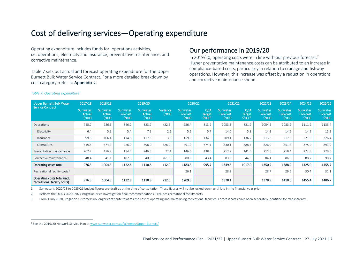# <span id="page-6-0"></span>Cost of delivering services—Operating expenditure

Operating expenditure includes funds for: operations activities, i.e. operations, electricity and insurance; preventative maintenance; and corrective maintenance.

[Table 7](#page-6-1) sets out actual and forecast operating expenditure for the Upper Burnett Bulk Water Service Contract. For a more detailed breakdown by cost category, refer t[o Appendix 2.](#page-12-0)

### Our performance in 2019/20

In 2019/20, operating costs were in line with our previous forecast. 2 Higher preventative maintenance costs can be attributed to an increase in compliance-based costs, particularly in relation to cranage and fishway operations. However, this increase was offset by a reduction in operations and corrective maintenance spend.

| Upper Burnett Bulk Water<br><b>Service Contract</b>          | 2017/18                             | 2018/19                             | 2019/20                                  |                              |                    | 2020/21<br>2021/22                    |                                                    |                                | 2022/23                                     | 2023/24                        | 2024/25                         | 2025/26                               |                                       |
|--------------------------------------------------------------|-------------------------------------|-------------------------------------|------------------------------------------|------------------------------|--------------------|---------------------------------------|----------------------------------------------------|--------------------------------|---------------------------------------------|--------------------------------|---------------------------------|---------------------------------------|---------------------------------------|
|                                                              | Sunwater<br><b>Actual</b><br>\$'000 | <b>Sunwater</b><br>Actual<br>\$′000 | Sunwater<br>Forecast<br>$\frac{1}{2}000$ | Sunwater<br>Actual<br>\$′000 | Variance<br>\$′000 | <b>Sunwater</b><br>Forecast<br>\$′000 | <b>QCA</b><br><b>Target</b><br>\$′000 <sup>2</sup> | Sunwater<br>Forecast<br>\$′000 | QCA<br><b>Target</b><br>\$′000 <sup>2</sup> | Sunwater<br>Forecast<br>\$′000 | Sunwater,<br>Forecast<br>\$′000 | <b>Sunwater</b><br>Forecast<br>\$′000 | <b>Sunwater</b><br>Forecast<br>\$′000 |
| Operations                                                   | 725.7                               | 786.6                               | 846.2                                    | 823.7                        | (22.5)             | 956.4                                 | 813.9                                              | 1053.3                         | 831.2                                       | 1054.5                         | 1083.9                          | 1111.9                                | 1135.4                                |
| Electricity                                                  | 6.4                                 | 5.9                                 | 5.4                                      | 7.9                          | 2.5                | 5.2                                   | 5.7                                                | 14.0                           | 5.8                                         | 14.3                           | 14.6                            | 14.9                                  | 15.2                                  |
| Insurance                                                    | 99.8                                | 106.4                               | 114.8                                    | 117.8                        | 3.0                | 159.3                                 | 134.0                                              | 209.1                          | 136.7                                       | 213.3                          | 217.6                           | 221.9                                 | 226.4                                 |
| Operations                                                   | 619.5                               | 674.3                               | 726.0                                    | 698.0                        | (28.0)             | 791.9                                 | 674.1                                              | 830.1                          | 688.7                                       | 826.9                          | 851.8                           | 875.2                                 | 893.9                                 |
| Preventative maintenance                                     | 202.2                               | 176.7                               | 174.3                                    | 246.3                        | 72.1               | 146.0                                 | 138.5                                              | 212.2                          | 141.6                                       | 211.6                          | 218.4                           | 224.3                                 | 229.6                                 |
| Corrective maintenance                                       | 48.4                                | 41.1                                | 102.3                                    | 40.8                         | (61.5)             | 80.9                                  | 43.4                                               | 83.9                           | 44.3                                        | 84.1                           | 86.6                            | 88.7                                  | 90.7                                  |
| Operating costs total                                        | 976.3                               | 1004.3                              | 1122.8                                   | 1110.8                       | (12.0)             | 1183.3                                | 995.7                                              | 1349.3                         | 1017.0                                      | 1350.2                         | 1388.9                          | 1425.0                                | 1455.7                                |
| Recreational facility costs <sup>3</sup>                     |                                     |                                     |                                          |                              |                    | 26.1                                  |                                                    | 28.8                           |                                             | 28.7                           | 29.6                            | 30.4                                  | 31.1                                  |
| Operating costs total (incl.<br>recreational facility costs) | 976.3                               | 1004.3                              | 1122.8                                   | 1110.8                       | (12.0)             | 1209.3                                |                                                    | 1378.1                         |                                             | 1378.9                         | 1418.5                          | 1455.4                                | 1486.7                                |

#### <span id="page-6-1"></span>*Table 7: Operating expenditure<sup>1</sup>*

1. Sunwater's 2022/23 to 2025/26 budget figures are draft as at the time of consultation. These figures will not be locked down until late in the financial year prior.

2. Reflects the QCA's 2020–2024 irrigation price investigation final recommendations. Excludes recreational facility costs.

3. From 1 July 2020, irrigation customers no longer contribute towards the cost of operating and maintaining recreational facilities. Forecast costs have been separately identified for transparency.

<sup>&</sup>lt;sup>2</sup> See the 2019/20 Network Service Plan a[t www.sunwater.com.au/schemes/Upper-Burnett/](https://www.sunwater.com.au/schemes/Upper-Burnett/)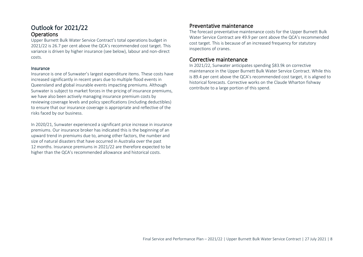### Outlook for 2021/22 **Operations**

Upper Burnett Bulk Water Service Contract's total operations budget in 2021/22 is 26.7 per cent above the QCA's recommended cost target. This variance is driven by higher insurance (see below), labour and non-direct costs.

#### Insurance

Insurance is one of Sunwater's largest expenditure items. These costs have increased significantly in recent years due to multiple flood events in Queensland and global insurable events impacting premiums. Although Sunwater is subject to market forces in the pricing of insurance premiums, we have also been actively managing insurance premium costs by reviewing coverage levels and policy specifications (including deductibles) to ensure that our insurance coverage is appropriate and reflective of the risks faced by our business.

In 2020/21, Sunwater experienced a significant price increase in insurance premiums. Our insurance broker has indicated this is the beginning of an upward trend in premiums due to, among other factors, the number and size of natural disasters that have occurred in Australia over the past 12 months. Insurance premiums in 2021/22 are therefore expected to be higher than the QCA's recommended allowance and historical costs.

### Preventative maintenance

The forecast preventative maintenance costs for the Upper Burnett Bulk Water Service Contract are 49.9 per cent above the QCA's recommended cost target. This is because of an increased frequency for statutory inspections of cranes.

### Corrective maintenance

In 2021/22, Sunwater anticipates spending \$83.9k on corrective maintenance in the Upper Burnett Bulk Water Service Contract. While this is 89.4 per cent above the QCA's recommended cost target, it is aligned to historical forecasts. Corrective works on the Claude Wharton fishway contribute to a large portion of this spend.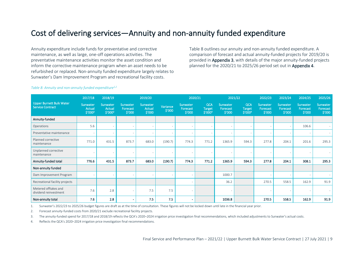# <span id="page-8-0"></span>Cost of delivering services—Annuity and non-annuity funded expenditure

Annuity expenditure include funds for preventative and corrective maintenance, as well as large, one-off operations activities. The preventative maintenance activities monitor the asset condition and inform the corrective maintenance program when an asset needs to be refurbished or replaced. Non-annuity funded expenditure largely relates to Sunwater's Dam Improvement Program and recreational facility costs.

[Table 8](#page-8-1) outlines our annuity and non-annuity funded expenditure. A comparison of forecast and actual annuity-funded projects for 2019/20 is provided i[n Appendix 3,](#page-13-0) with details of the major annuity-funded projects planned for the 2020/21 to 2025/26 period set out in [Appendix 4.](#page-15-0)

| <b>Upper Burnett Bulk Water</b><br><b>Service Contract</b> | 2017/18                              | 2018/19                              | 2019/20                        |                              |                    |                                | 2020/21<br>2021/22                                 |                                |                                                    | 2022/23                        |                                 | 2024/25                        | 2025/26                        |
|------------------------------------------------------------|--------------------------------------|--------------------------------------|--------------------------------|------------------------------|--------------------|--------------------------------|----------------------------------------------------|--------------------------------|----------------------------------------------------|--------------------------------|---------------------------------|--------------------------------|--------------------------------|
|                                                            | Sunwater<br><b>Actual</b><br>\$′000³ | <b>Sunwater</b><br>Actual<br>\$′000³ | Sunwater<br>Forecast<br>\$′000 | Sunwater<br>Actual<br>\$′000 | Variance<br>\$′000 | Sunwater<br>Forecast<br>\$′000 | <b>QCA</b><br><b>Target</b><br>\$′000 <sup>4</sup> | Sunwater<br>Forecast<br>\$′000 | <b>QCA</b><br><b>Target</b><br>\$′000 <sup>4</sup> | Sunwater<br>Forecast<br>\$′000 | Sunwater,<br>Forecast<br>\$′000 | Sunwater<br>Forecast<br>\$′000 | Sunwater<br>Forecast<br>\$′000 |
| Annuity-funded                                             |                                      |                                      |                                |                              |                    |                                |                                                    |                                |                                                    |                                |                                 |                                |                                |
| Operations                                                 | 5.6                                  |                                      |                                |                              |                    |                                |                                                    |                                |                                                    |                                |                                 | 106.6                          |                                |
| Preventative maintenance                                   |                                      |                                      |                                |                              |                    |                                |                                                    |                                |                                                    |                                |                                 |                                |                                |
| Planned corrective<br>maintenance                          | 771.0                                | 431.5                                | 873.7                          | 683.0                        | (190.7)            | 774.3                          | 771.2                                              | 1365.9                         | 594.3                                              | 277.8                          | 204.1                           | 201.6                          | 295.3                          |
| Unplanned corrective<br>maintenance                        |                                      |                                      |                                |                              |                    |                                |                                                    |                                |                                                    |                                |                                 |                                |                                |
| Annuity-funded total                                       | 776.6                                | 431.5                                | 873.7                          | 683.0                        | (190.7)            | 774.3                          | 771.2                                              | 1365.9                         | 594.3                                              | 277.8                          | 204.1                           | 308.1                          | 295.3                          |
| Non-annuity funded                                         |                                      |                                      |                                |                              |                    |                                |                                                    |                                |                                                    |                                |                                 |                                |                                |
| Dam Improvement Program                                    |                                      |                                      |                                |                              |                    | $\overline{\phantom{a}}$       |                                                    | 1000.7                         |                                                    |                                |                                 | $\overline{\phantom{a}}$       |                                |
| Recreational facility projects                             |                                      |                                      |                                |                              |                    |                                |                                                    | 36.2                           |                                                    | 270.5                          | 558.5                           | 162.9                          | 91.9                           |
| Metered offtakes and<br>dividend reinvestment              | 7.6                                  | 2.8                                  |                                | 7.5                          | 7.5                | $\overline{\phantom{a}}$       |                                                    |                                |                                                    |                                |                                 |                                |                                |

Non-annuity total | 7.6 | 2.8 | - | 7.5 | - | | 1036.8 | | 270.5 | 558.5 | 162.9 | 91.9

#### <span id="page-8-1"></span>*Table 8: Annuity and non-annuity funded expenditure1,2*

1. Sunwater's 2022/23 to 2025/26 budget figures are draft as at the time of consultation. These figures will not be locked down until late in the financial year prior.

2. Forecast annuity-funded costs from 2020/21 exclude recreational facility projects.

3. The annuity-funded spend for 2017/18 and 2018/19 reflects the QCA's 2020–2024 irrigation price investigation final recommendations, which included adjustments to Sunwater's actual costs.

4. Reflects the QCA's 2020–2024 irrigation price investigation final recommendations.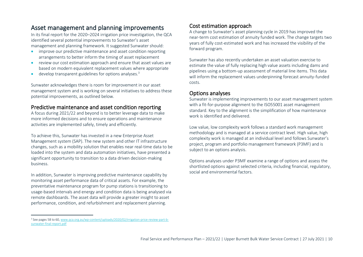### Asset management and planning improvements

In its final report for the 2020–2024 irrigation price investigation, the QCA identified several potential improvements to Sunwater's asset management and planning framework. It suggested Sunwater should:

- improve our predictive maintenance and asset condition reporting arrangements to better inform the timing of asset replacement
- review our cost estimation approach and ensure that asset values are based on modern equivalent replacement values where appropriate
- develop transparent guidelines for options analyses.<sup>3</sup>

Sunwater acknowledges there is room for improvement in our asset management system and is working on several initiatives to address these potential improvements, as outlined below.

#### Predictive maintenance and asset condition reporting

A focus during 2021/22 and beyond is to better leverage data to make more informed decisions and to ensure operations and maintenance activities are implemented safely, timely and efficiently.

To achieve this, Sunwater has invested in a new Enterprise Asset Management system (SAP). The new system and other IT infrastructure changes, such as a mobility solution that enables near real-time data to be loaded into the system and data automation initiatives, have presented a significant opportunity to transition to a data driven decision-making business.

In addition, Sunwater is improving predictive maintenance capability by monitoring asset performance data of critical assets. For example, the preventative maintenance program for pump stations is transitioning to usage-based intervals and energy and condition data is being analysed via remote dashboards. The asset data will provide a greater insight to asset performance, condition, and refurbishment and replacement planning.

### Cost estimation approach

A change to Sunwater's asset planning cycle in 2019 has improved the near-term cost estimation of annuity funded work. The change targets two years of fully cost-estimated work and has increased the visibility of the forward program.

Sunwater has also recently undertaken an asset valuation exercise to estimate the value of fully replacing high value assets including dams and pipelines using a bottom-up assessment of material line items. This data will inform the replacement values underpinning forecast annuity-funded costs.

### Options analyses

Sunwater is implementing improvements to our asset management system with a fit-for-purpose alignment to the ISO55001 asset management standard. Key to the alignment is the simplification of how maintenance work is identified and delivered.

Low value, low complexity work follows a standard work management methodology and is managed at a service contract level. High value, high complexity work is managed at an individual level and follows Sunwater's project, program and portfolio management framework (P3MF) and is subject to an options analysis.

Options analyses under P3MF examine a range of options and assess the shortlisted options against selected criteria, including financial, regulatory, social and environmental factors.

<sup>3</sup> See pages 58 to 60[, www.qca.org.au/wp-content/uploads/2020/02/irrigation-price-review-part-b](https://www.qca.org.au/wp-content/uploads/2020/02/irrigation-price-review-part-b-sunwater-final-report.pdf)[sunwater-final-report.pdf](https://www.qca.org.au/wp-content/uploads/2020/02/irrigation-price-review-part-b-sunwater-final-report.pdf)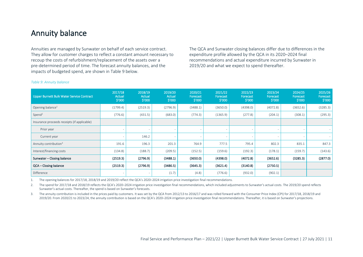# <span id="page-10-0"></span>Annuity balance

Annuities are managed by Sunwater on behalf of each service contract. They allow for customer charges to reflect a constant amount necessary to recoup the costs of refurbishment/replacement of the assets over a pre-determined period of time. The forecast annuity balances, and the impacts of budgeted spend, are shown in [Table 9](#page-10-1) below.

The QCA and Sunwater closing balances differ due to differences in the expenditure profile allowed by the QCA in its 2020–2024 final recommendations and actual expenditure incurred by Sunwater in 2019/20 and what we expect to spend thereafter.

| Upper Burnett Bulk Water Service Contract   | 2017/18<br>Actual<br>\$′000 | 2018/19<br>Actual<br>\$′000 | 2019/20<br>Actual<br>\$′000 | 2020/21<br>Forecast<br>\$′000 | 2021/22<br>Forecast<br>\$′000 | 2022/23<br>Forecast<br>$\frac{$'}{000}$ | 2023/24<br>Forecast<br>\$′000 | 2024/25<br>Forecast<br>\$′000 | 2025/26<br>Forecast<br>\$′000 |
|---------------------------------------------|-----------------------------|-----------------------------|-----------------------------|-------------------------------|-------------------------------|-----------------------------------------|-------------------------------|-------------------------------|-------------------------------|
| Opening balance <sup>1</sup>                | (1799.4)                    | (2519.3)                    | (2796.9)                    | (3488.1)                      | (3650.0)                      | (4398.0)                                | (4072.8)                      | (3652.6)                      | (3285.3)                      |
| Spend <sup>2</sup>                          | (776.6)                     | (431.5)                     | (683.0)                     | (774.3)                       | (1365.9)                      | (277.8)                                 | (204.1)                       | (308.1)                       | (295.3)                       |
| Insurance proceeds receipts (if applicable) |                             |                             |                             |                               |                               |                                         |                               |                               |                               |
| Prior year                                  |                             |                             |                             |                               |                               |                                         |                               |                               |                               |
| Current year                                |                             | 146.2                       |                             |                               |                               |                                         |                               |                               |                               |
| Annuity contribution <sup>3</sup>           | 191.6                       | 196.3                       | 201.3                       | 764.9                         | 777.5                         | 795.4                                   | 802.3                         | 835.1                         | 847.3                         |
| Interest/financing costs                    | (134.8)                     | (188.7)                     | (209.5)                     | (152.5)                       | (159.6)                       | (192.3)                                 | (178.1)                       | (159.7)                       | (143.6)                       |
| Sunwater - Closing balance                  | (2519.3)                    | (2796.9)                    | (3488.1)                    | (3650.0)                      | (4398.0)                      | (4072.8)                                | (3652.6)                      | (3285.3)                      | (2877.0)                      |
| QCA - Closing balance                       | (2519.3)                    | (2796.9)                    | (3486.5)                    | (3645.3)                      | (3621.4)                      | (3140.8)                                | (2750.5)                      |                               |                               |
| Difference                                  |                             |                             | (1.7)                       | (4.8)                         | (776.6)                       | (932.0)                                 | (902.1)                       |                               |                               |

#### <span id="page-10-1"></span>*Table 9: Annuity balance*

1. The opening balances for 2017/18, 2018/19 and 2019/20 reflect the QCA's 2020–2024 irrigation price investigation final recommendations.

2. The spend for 2017/18 and 2018/19 reflects the QCA's 2020–2024 irrigation price investigation final recommendations, which included adjustments to Sunwater's actual costs. The 2019/20 spend reflects Sunwater's actual costs. Thereafter, the spend is based on Sunwater's forecasts.

3. The annuity contribution is included in the prices paid by customers. It was set by the QCA from 2012/13 to 2016/17 and was rolled forward with the Consumer Price Index (CPI) for 2017/18, 2018/19 and 2019/20. From 2020/21 to 2023/24, the annuity contribution is based on the QCA's 2020–2024 irrigation price investigation final recommendations. Thereafter, it is based on Sunwater's projections.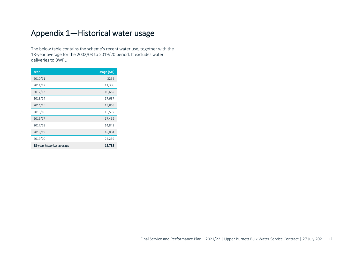# <span id="page-11-0"></span>Appendix 1—Historical water usage

The below table contains the scheme's recent water use, together with the 18-year average for the 2002/03 to 2019/20 period. It excludes water deliveries to BWPL.

| Year                       | Usage (ML) |
|----------------------------|------------|
| 2010/11                    | 3255       |
| 2011/12                    | 11,300     |
| 2012/13                    | 10,662     |
| 2013/14                    | 17,637     |
| 2014/15                    | 13,863     |
| 2015/16                    | 15,592     |
| 2016/17                    | 17,462     |
| 2017/18                    | 14,842     |
| 2018/19                    | 18,804     |
| 2019/20                    | 24,239     |
| 18-year historical average | 15,783     |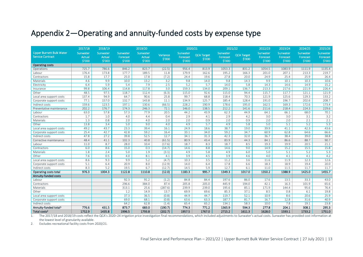# <span id="page-12-0"></span>Appendix 2—Operating and annuity-funded costs by expense type

|                                                            | 2017/18                             | 2018/19                             |                                | 2019/20                             |                    | 2020/21                        |                             | 2021/22                        |                             | 2022/23                        | 2023/24                        | 2024/25                        | 2025/26                        |
|------------------------------------------------------------|-------------------------------------|-------------------------------------|--------------------------------|-------------------------------------|--------------------|--------------------------------|-----------------------------|--------------------------------|-----------------------------|--------------------------------|--------------------------------|--------------------------------|--------------------------------|
| <b>Upper Burnett Bulk Water</b><br><b>Service Contract</b> | Sunwater<br><b>Actual</b><br>\$'000 | Sunwater<br><b>Actual</b><br>\$'000 | Sunwater<br>Forecast<br>\$'000 | Sunwater<br><b>Actual</b><br>\$'000 | Variance<br>\$'000 | Sunwater<br>Forecast<br>\$'000 | <b>QCA Target</b><br>\$'000 | Sunwater<br>Forecast<br>\$'000 | <b>QCA Target</b><br>\$'000 | Sunwater<br>Forecast<br>\$'000 | Sunwater<br>Forecast<br>\$'000 | Sunwater<br>Forecast<br>\$'000 | Sunwater<br>Forecast<br>\$'000 |
| <b>Operating costs</b>                                     |                                     |                                     |                                |                                     |                    |                                |                             |                                |                             |                                |                                |                                |                                |
| Operations                                                 | 725.7                               | 786.6                               | 846.2                          | 823.7                               | (22.5)             | 956.4                          | 813.9                       | 1053.3                         | 831.2                       | 1054.5                         | 1083.9                         | 1111.9                         | 1135.4                         |
| Labour                                                     | 176.4                               | 173.8                               | 177.7                          | 189.5                               | 11.8               | 179.9                          | 162.6                       | 195.2                          | 166.3                       | 201.0                          | 207.1                          | 213.3                          | 219.7                          |
| Contractors                                                | 15.8                                | 17.7                                | 25.0                           | 17.8                                | (7.2)              | 24.4                           | 19.6                        | 27.8                           | 20.0                        | 24.9                           | 25.4                           | 25.9                           | 26.4                           |
| Materials                                                  | 4.6                                 | 9.9                                 | 10.0                           | 13.2                                | 3.2                | 9.8                            | 14.0                        | 9.8                            | 14.3                        | 9.9                            | 10.1                           | 10.3                           | 10.6                           |
| Electricity                                                | 6.4                                 | 5.9                                 | 5.4                            | 7.9                                 | 2.5                | 5.2                            | 5.7                         | 14.0                           | 5.8                         | 14.3                           | 14.6                           | 14.9                           | 15.2                           |
| Insurance                                                  | 99.8                                | 106.4                               | 114.8                          | 117.8                               | 3.0                | 159.3                          | 134.0                       | 209.1                          | 136.7                       | 213.3                          | 217.6                          | 221.9                          | 226.4                          |
| Other                                                      | 48.5                                | 97.5                                | 118.7                          | 112.4                               | (6.3)              | 115.0                          | 92.6                        | 115.0                          | 94.4                        | 115.7                          | 117.7                          | 121.1                          | 121.9                          |
| Local area support costs                                   | 137.4                               | 94.9                                | 64.7                           | 90.6                                | 25.8               | 99.7                           | 68.8                        | 118.4                          | 70.3                        | 121.9                          | 125.6                          | 129.3                          | 133.2                          |
| Corporate support costs                                    | 77.1                                | 157.0                               | 132.7                          | 143.8                               | 11.1               | 134.9                          | 125.7                       | 185.4                          | 128.4                       | 191.0                          | 196.7                          | 202.6                          | 208.7                          |
| Indirect costs                                             | 159.6                               | 123.5                               | 197.1                          | 130.6                               | (66.5)             | 228.2                          | 190.9                       | 178.6                          | 195.0                       | 162.5                          | 169.3                          | 172.6                          | 173.4                          |
| Preventative maintenance                                   | 202.2                               | 176.7                               | 174.3                          | 246.3                               | 72.1               | 146.0                          | 138.5                       | 212.2                          | 141.6                       | 211.6                          | 218.4                          | 224.3                          | 229.6                          |
| Labour                                                     | 63.0                                | 57.8                                | 57.3                           | 77.9                                | 20.5               | 44.2                           | 43.9                        | 62.3                           | 44.9                        | 64.1                           | 66.1                           | 68.0                           | 70.1                           |
| Contractors                                                | 1.7                                 | 1.0                                 | 4.0                            | 4.4                                 | 0.4                | 2.9                            | 4.1                         | 2.9                            | 4.2                         | 3.0                            | 3.0                            | 3.1                            | 3.2                            |
| Materials                                                  | 1.3                                 | 0.8                                 | 2.0                            | 4.0                                 | 2.0                | 2.0                            | 0.9                         | 2.0                            | 0.9                         | 2.0                            | 2.0                            | 2.1                            | 2.1                            |
| Other                                                      | 13.8                                | 3.4                                 | 5.0                            | 9.0                                 | 4.0                | 4.9                            | 5.7                         | 4.9                            | 5.8                         | 5.0                            | 5.1                            | 5.2                            | 5.3                            |
| Local area support costs                                   | 49.2                                | 43.7                                | 23.3                           | 39.4                                | 16.1               | 24.9                           | 18.6                        | 38.7                           | 19.0                        | 39.9                           | 41.1                           | 42.3                           | 43.6                           |
| Corporate support costs                                    | 25.4                                | 42.7                                | 42.8                           | 59.2                                | 16.4               | 33.1                           | 34.0                        | 59.2                           | 34.7                        | 60.9                           | 62.8                           | 64.6                           | 66.6                           |
| Indirect costs                                             | 47.8                                | 27.2                                | 39.8                           | 52.5                                | 12.7               | 34.1                           | 31.3                        | 42.3                           | 32.0                        | 36.7                           | 38.4                           | 39.0                           | 38.8                           |
| Corrective maintenance                                     | 48.4                                | 41.1                                | 102.3                          | 40.8                                | (61.5)             | 80.9                           | 43.4                        | 83.9                           | 44.3                        | 84.1                           | 86.6                           | 88.7                           | 90.7                           |
| Labour                                                     | 11.0                                | 8.7                                 | 28.0                           | 10.4                                | (17.6)             | 18.7                           | 8.3                         | 18.7                           | 8.5                         | 19.3                           | 19.9                           | 20.5                           | 21.1                           |
| Contractors                                                | 6.0                                 | 8.6                                 | 15.0                           | 0.3                                 | (14.7)             | 14.6                           | 8.8                         | 14.6                           | 9.0                         | 14.9                           | 15.2                           | 15.5                           | 15.8                           |
| Materials                                                  | 1.8                                 | 2.4                                 | 5.0                            | 1.9                                 | (3.1)              | 4.9                            | 5.8                         | 4.9                            | 6.0                         | 5.0                            | 5.1                            | 5.2                            | 5.3                            |
| Other                                                      | 7.6                                 | 0.5                                 | 4.0                            | 8.1                                 | 4.1                | 3.9                            | 4.5                         | 3.9                            | 4.6                         | 4.0                            | 4.1                            | 4.1                            | 4.2                            |
| Local area support costs                                   | 8.6                                 | 9.3                                 | 9.9                            | 5.2                                 | (4.7)              | 10.3                           | 3.5                         | 11.2                           | 3.6                         | 11.6                           | 11.9                           | 12.3                           | 12.6                           |
| Corporate support costs                                    | 5.1                                 | 6.4                                 | 20.9                           | 8.0                                 | (12.9)             | 14.0                           | 6.4                         | 17.8                           | 6.6                         | 18.3                           | 18.9                           | 19.4                           | 20.0                           |
| Indirect costs                                             | 8.3                                 | 5.2                                 | 19.5                           | 6.7                                 | (12.7)             | 14.5                           | 5.9                         | 12.7                           | 6.1                         | 11.0                           | 11.5                           | 11.7                           | 11.7                           |
| Operating costs total                                      | 976.3                               | 1004.3                              | 1122.8                         | 1110.8                              | (12.0)             | 1183.3                         | 995.7                       | 1349.3                         | 1017.0                      | 1350.2                         | 1388.9                         | 1425.0                         | 1455.7                         |
| Annuity-funded costs                                       |                                     |                                     |                                |                                     |                    |                                |                             |                                |                             |                                |                                |                                |                                |
| Labour                                                     |                                     |                                     | 92.3                           | 91.2                                | (1.2)              | 84.8                           | 84.4                        | 197.6                          | 86.0                        | 17.6                           | 13.5                           | 33.3                           | 43.0                           |
| Contractors                                                |                                     |                                     | 296.6                          | 384.0                               | 87.4               | 205.8                          | 205.0                       | 445.9                          | 194.0                       | 42.1                           | 16.3                           | 101.9                          | 65.6                           |
| Materials                                                  |                                     |                                     | 313.1                          | 25.6                                | (287.6)            | 239.9                          | 239.0                       | 195.6                          | 85.1                        | 171.9                          | 144.4                          | 95.6                           | 76.4                           |
| Other                                                      |                                     |                                     | 1.2                            | 14.9                                | 13.7               | 69.9                           | 69.6                        | 85.3                           | 37.1                        | 8.5                            | 0.8                            | 6.1                            | 19.8                           |
| Local area support costs                                   |                                     |                                     | 37.3                           | 36.5                                | (0.8)              | 44.9                           | 44.7                        | 119.7                          | 52.1                        | 10.9                           | 8.6                            | 20.6                           | 25.9                           |
| Corporate support costs                                    |                                     |                                     | 69.0                           | 68.1                                | (0.8)              | 63.6                           | 63.3                        | 187.7                          | 81.7                        | 16.7                           | 12.8                           | 31.6                           | 40.9                           |
| Indirect costs                                             |                                     |                                     | 64.2                           | 62.8                                | (1.4)              | 65.4                           | 65.2                        | 134.1                          | 58.3                        | 10.0                           | 7.8                            | 19.1                           | 23.8                           |
| Annuity-funded total <sup>1</sup>                          | 776.6                               | 431.5                               | 873.7                          | 683.0                               | (190.7)            | 774.3                          | 771.2                       | 1365.9                         | 594.3                       | 277.8                          | 204.1                          | 308.1                          | 295.3                          |
| Total costs <sup>2</sup>                                   | 1752.9                              | 1435.8                              | 1996.5                         | 1793.8                              | (202.7)            | 1957.5                         | 1767.0                      | 2715.2                         | 1611.3                      | 1628.0                         | 1593.1                         | 1733.2                         | 1751.0                         |

1. The 2017/18 and 2018/19 costs reflect the QCA's 2020–24 irrigation price investigation final recommendations, which included adjustments to Sunwater's actual costs. Sunwater has provided cost information at the lowest level of granularity available.

2. Excludes recreational facility costs from 2020/21.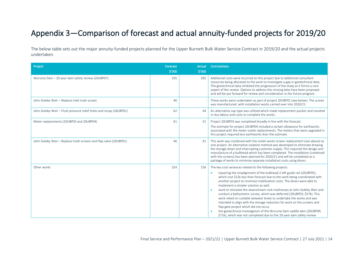# <span id="page-13-0"></span>Appendix 3—Comparison of forecast and actual annuity-funded projects for 2019/20

The below table sets out the major annuity-funded projects planned for the Upper Burnett Bulk Water Service Contract in 2019/20 and the actual projects undertaken.

| Project                                                            | Forecast<br>\$'000 | Actual<br>\$'000 | Commentary                                                                                                                                                                                                                                                                                                                                                                                                                                                                                                                                                                                                                                                                                                           |
|--------------------------------------------------------------------|--------------------|------------------|----------------------------------------------------------------------------------------------------------------------------------------------------------------------------------------------------------------------------------------------------------------------------------------------------------------------------------------------------------------------------------------------------------------------------------------------------------------------------------------------------------------------------------------------------------------------------------------------------------------------------------------------------------------------------------------------------------------------|
|                                                                    |                    |                  |                                                                                                                                                                                                                                                                                                                                                                                                                                                                                                                                                                                                                                                                                                                      |
| Wuruma Dam - 20-year dam safety review (20UBP07)                   | 335                | 392              | Additional costs were incurred on this project due to additional consultant<br>resources being allocated to the work to investigate a gap in geotechnical data.<br>The geotechnical data inhibited the progression of the study as it forms a core<br>aspect of the review. Options to address the missing data have been proposed<br>and will be put forward for review and consideration in the future program.                                                                                                                                                                                                                                                                                                    |
| John Goleby Weir - Replace inlet trash screen                      | 46                 |                  | These works were undertaken as part of project 20UBP01 (see below). The screen<br>was manufactured, with installation works carried over into 2020/21.                                                                                                                                                                                                                                                                                                                                                                                                                                                                                                                                                               |
| John Goleby Weir - Flush pressure relief holes and recap (18UBP01) | 62                 | 44               | An alternative cap type was utilised which made replacement quicker and resulted<br>in less labour and costs to complete the works.                                                                                                                                                                                                                                                                                                                                                                                                                                                                                                                                                                                  |
| Meter replacements (20UBP03 and 20UBP04)                           | 61                 | 51               | Project 20UBP03 was completed broadly in line with the forecast.                                                                                                                                                                                                                                                                                                                                                                                                                                                                                                                                                                                                                                                     |
|                                                                    |                    |                  | The estimate for project 20UBP04 included a certain allowance for earthworks<br>associated with the meter outlet replacements. The meters that were upgraded in<br>this project required less earthworks than the estimate.                                                                                                                                                                                                                                                                                                                                                                                                                                                                                          |
| John Goleby Weir - Replace trash screens and flap valve (20UBP01)  | 46                 | 41               | This work was combined with the outlet works screen replacement (see above) as<br>one project. An alternative isolation method was developed to eliminate drawing<br>the storage down and interrupting customer supply. This required the design and<br>manufacture of a bulkhead which has been completed. The installation (combined<br>with the screens) has been planned for 2020/21 and will be completed as a<br>package of works to minimise separate installation costs using divers.                                                                                                                                                                                                                        |
| Other works                                                        | 324                | 156              | The key cost variances related to the following projects:<br>repairing the misalignment of the bulkhead 2 left guide rail (20UBP05),<br>$\bullet$                                                                                                                                                                                                                                                                                                                                                                                                                                                                                                                                                                    |
|                                                                    |                    |                  | which cost \$12k less than forecast due to the work being coordinated with<br>another project to minimise mobilisation costs. The divers were able to<br>implement a simpler solution as well.<br>work to reinstate the downstream rock mattresses at John Goleby Weir and<br>$\bullet$<br>conduct a bathymetric survey, which was deferred (20UBP02; \$57k). This<br>work relied on suitable tailwater levels to undertake the works and was<br>intended to align with the storage reduction for work on the screens and<br>flap gate project which did not occur.<br>the geotechnical investigation of the Wuruma Dam saddle dam (20UBP09;<br>\$71k), which was not completed due to the 20-year dam safety review |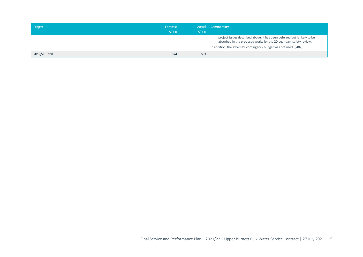| Project       | Forecast<br>$$^{\prime}000$ | $\frac{1}{2}$ 000 | Actual Commentary                                                                                                                                                                                                   |
|---------------|-----------------------------|-------------------|---------------------------------------------------------------------------------------------------------------------------------------------------------------------------------------------------------------------|
|               |                             |                   | project issues described above. It has been deferred but is likely to be<br>absorbed in the proposed works for the 20-year dam safety review.<br>In addition, the scheme's contingency budget was not used (\$48k). |
| 2019/20 Total | 874                         | 683               |                                                                                                                                                                                                                     |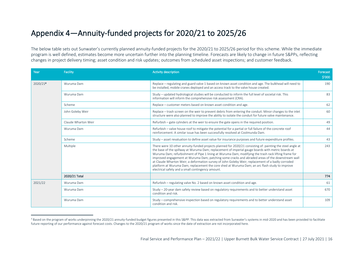# <span id="page-15-0"></span>Appendix 4—Annuity-funded projects for 2020/21 to 2025/26

The below table sets out Sunwater's currently planned annuity-funded projects for the 2020/21 to 2025/26 period for this scheme. While the immediate program is well defined, estimates become more uncertain further into the planning timeline. Forecasts are likely to change in future S&PPs, reflecting changes in project delivery timing; asset condition and risk updates; outcomes from scheduled asset inspections; and customer feedback.

| Year                   | Facility                                                                                                | <b>Activity description</b>                                                                                                                                                                                                                                                                                                                                                                                                                                                                                                                                                                                                                                                              | Forecast<br>\$'000 |
|------------------------|---------------------------------------------------------------------------------------------------------|------------------------------------------------------------------------------------------------------------------------------------------------------------------------------------------------------------------------------------------------------------------------------------------------------------------------------------------------------------------------------------------------------------------------------------------------------------------------------------------------------------------------------------------------------------------------------------------------------------------------------------------------------------------------------------------|--------------------|
| 2020/214<br>Wuruma Dam |                                                                                                         | Replace - regulating and guard valve 1 based on known asset condition and age. The bulkhead will need to<br>be installed, mobile cranes deployed and an access track to the valve house created.                                                                                                                                                                                                                                                                                                                                                                                                                                                                                         | 190                |
|                        | Wuruma Dam                                                                                              | Study - updated hydrological studies will be conducted to inform the full level of societal risk. This<br>information will inform the comprehensive risk assessment (CRA).                                                                                                                                                                                                                                                                                                                                                                                                                                                                                                               | 83                 |
|                        | Scheme                                                                                                  | Replace – customer meters based on known asset condition and age.                                                                                                                                                                                                                                                                                                                                                                                                                                                                                                                                                                                                                        | 62                 |
|                        | John Goleby Weir                                                                                        | Replace - trash screen on the weir to prevent debris from entering the conduit. Minor changes to the inlet<br>structure were also planned to improve the ability to isolate the conduit for future valve maintenance.                                                                                                                                                                                                                                                                                                                                                                                                                                                                    | 60                 |
|                        | Claude Wharton Weir                                                                                     | Refurbish – gate cylinders at the weir to ensure the gate opens in the required position.                                                                                                                                                                                                                                                                                                                                                                                                                                                                                                                                                                                                | 49                 |
|                        | Wuruma Dam                                                                                              | Refurbish – valve house roof to mitigate the potential for a partial or full failure of the concrete roof<br>reinforcement. A similar issue has been successfully resolved at Coolmunda Dam.                                                                                                                                                                                                                                                                                                                                                                                                                                                                                             | 44                 |
| Scheme                 | Study – asset revaluation to define asset value for insurance purposes and future expenditure profiles. | 43                                                                                                                                                                                                                                                                                                                                                                                                                                                                                                                                                                                                                                                                                       |                    |
|                        | Multiple                                                                                                | There were 10 other annuity-funded projects planned for 2020/21 consisting of: painting the steel angle at<br>the base of the spillway at Wuruma Dam; replacement of imperial gauge boards with metric boards at<br>Wuruma Dam; refurbishment of Pipe 1 lining at Wuruma Dam; modifying the trash rack lifting frame for<br>improved engagement at Wuruma Dam; patching some cracks and abraded areas of the downstream wall<br>at Claude Wharton Weir; a deformation survey of John Goleby Weir; replacement of a badly corroded<br>platform at Wuruma Dam; replacement the core shed at Wuruma Dam; an arc flash study to improve<br>electrical safety and a small contingency amount. | 243                |
|                        | 2020/21 Total                                                                                           |                                                                                                                                                                                                                                                                                                                                                                                                                                                                                                                                                                                                                                                                                          | 774                |
| 2021/22                | Wuruma Dam                                                                                              | Refurbish - regulating valve No. 2 based on known asset condition and age.                                                                                                                                                                                                                                                                                                                                                                                                                                                                                                                                                                                                               | 61                 |
|                        | Wuruma Dam                                                                                              | Study - 20-year dam safety review based on regulatory requirements and to better understand asset<br>condition and risk.                                                                                                                                                                                                                                                                                                                                                                                                                                                                                                                                                                 | 670                |
|                        | Wuruma Dam                                                                                              | Study – comprehensive inspection based on regulatory requirements and to better understand asset<br>condition and risk.                                                                                                                                                                                                                                                                                                                                                                                                                                                                                                                                                                  | 109                |

<sup>4</sup> Based on the program of works underpinning the 2020/21 annuity-funded budget figures presented in this S&PP. This data was extracted from Sunwater's systems in mid-2020 and has been provided to facilitate future reporting of our performance against forecast costs. Changes to the 2020/21 program of works since the date of extraction are not incorporated here.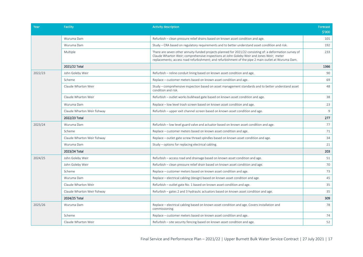| Year                                     | <b>Facility</b>                                                                                                                                                | <b>Activity description</b>                                                                                                                                                                                                                                                                                 | Forecast       |
|------------------------------------------|----------------------------------------------------------------------------------------------------------------------------------------------------------------|-------------------------------------------------------------------------------------------------------------------------------------------------------------------------------------------------------------------------------------------------------------------------------------------------------------|----------------|
|                                          |                                                                                                                                                                |                                                                                                                                                                                                                                                                                                             | \$'000         |
|                                          | Wuruma Dam                                                                                                                                                     | Refurbish - clean pressure relief drains based on known asset condition and age.                                                                                                                                                                                                                            | 101            |
| 2022/23<br>2023/24<br>2024/25<br>2025/26 | Wuruma Dam                                                                                                                                                     | Study – CRA based on regulatory requirements and to better understand asset condition and risk.                                                                                                                                                                                                             | 192            |
|                                          | Multiple                                                                                                                                                       | There are seven other annuity-funded projects planned for 2021/22 consisting of: a deformation survey of<br>Claude Wharton Weir; comprehensive inspections at John Goleby Weir and Jones Weir; meter<br>replacements; access road refurbishment; and refurbishment of the pipe 2 main outlet at Wuruma Dam. | 233            |
|                                          | 2021/22 Total                                                                                                                                                  |                                                                                                                                                                                                                                                                                                             | 1366           |
|                                          | John Goleby Weir                                                                                                                                               | Refurbish – reline conduit lining based on known asset condition and age.                                                                                                                                                                                                                                   | 90             |
|                                          | Scheme                                                                                                                                                         | Replace - customer meters based on known asset condition and age.                                                                                                                                                                                                                                           | 69             |
|                                          | Claude Wharton Weir                                                                                                                                            | Study – comprehensive inspection based on asset management standards and to better understand asset<br>condition and risk.                                                                                                                                                                                  | 48             |
|                                          | Claude Wharton Weir                                                                                                                                            | Refurbish – outlet works bulkhead gate based on known asset condition and age.                                                                                                                                                                                                                              |                |
|                                          | Wuruma Dam                                                                                                                                                     | Replace - low level trash screen based on known asset condition and age.                                                                                                                                                                                                                                    |                |
|                                          | Claude Wharton Weir fishway                                                                                                                                    | Refurbish – upper exit channel screen based on known asset condition and age.                                                                                                                                                                                                                               | $\overline{9}$ |
|                                          | 2022/23 Total                                                                                                                                                  |                                                                                                                                                                                                                                                                                                             | 277            |
|                                          | Wuruma Dam                                                                                                                                                     | Refurbish – low level guard valve and actuator based on known asset condition and age.                                                                                                                                                                                                                      | 77             |
|                                          | Scheme                                                                                                                                                         | Replace – customer meters based on known asset condition and age.                                                                                                                                                                                                                                           | 71             |
|                                          | Claude Wharton Weir fishway                                                                                                                                    | Replace – outlet gate screw thread spindles based on known asset condition and age.                                                                                                                                                                                                                         | 34             |
|                                          | Wuruma Dam                                                                                                                                                     | Study – options for replacing electrical cabling.                                                                                                                                                                                                                                                           | 21             |
|                                          | 2023/24 Total<br>John Goleby Weir<br>Refurbish - access road and drainage based on known asset condition and age.                                              | 203                                                                                                                                                                                                                                                                                                         |                |
|                                          |                                                                                                                                                                | Refurbish – clean pressure relief drain based on known asset condition and age.                                                                                                                                                                                                                             | 51             |
|                                          | John Goleby Weir<br>Scheme<br>Wuruma Dam<br>Claude Wharton Weir<br>Claude Wharton Weir fishway<br>2024/25 Total<br>Wuruma Dam<br>Scheme<br>Claude Wharton Weir |                                                                                                                                                                                                                                                                                                             | 70             |
|                                          |                                                                                                                                                                | Replace – customer meters based on known asset condition and age.                                                                                                                                                                                                                                           | 73             |
|                                          |                                                                                                                                                                | Replace – electrical cabling (design) based on known asset condition and age.                                                                                                                                                                                                                               | 45             |
|                                          |                                                                                                                                                                | Refurbish - outlet gate No. 1 based on known asset condition and age.                                                                                                                                                                                                                                       | 35             |
|                                          |                                                                                                                                                                | Refurbish – gates 2 and 3 hydraulic actuators based on known asset condition and age.                                                                                                                                                                                                                       | 35             |
|                                          |                                                                                                                                                                |                                                                                                                                                                                                                                                                                                             | 309            |
|                                          |                                                                                                                                                                | Replace – electrical cabling based on known asset condition and age. Covers installation and<br>commissioning.                                                                                                                                                                                              | 78             |
|                                          |                                                                                                                                                                | Replace - customer meters based on known asset condition and age.                                                                                                                                                                                                                                           | 74             |
|                                          |                                                                                                                                                                | Refurbish – site security fencing based on known asset condition and age.                                                                                                                                                                                                                                   | 52             |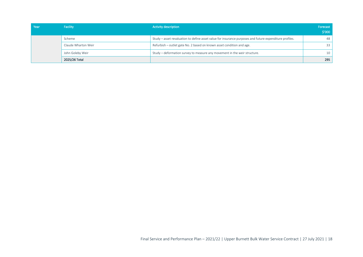| Year | <b>Facility</b>     | <b>Activity description</b>                                                                             | Forecast<br>$\frac{1}{2}$ 000 |
|------|---------------------|---------------------------------------------------------------------------------------------------------|-------------------------------|
|      | Scheme              | Study - asset revaluation to define asset value for insurance purposes and future expenditure profiles. | 48                            |
|      | Claude Wharton Weir | Refurbish – outlet gate No. 2 based on known asset condition and age.                                   | 33                            |
|      | John Goleby Weir    | Study – deformation survey to measure any movement in the weir structure.                               | 10                            |
|      | 2025/26 Total       |                                                                                                         | 295                           |